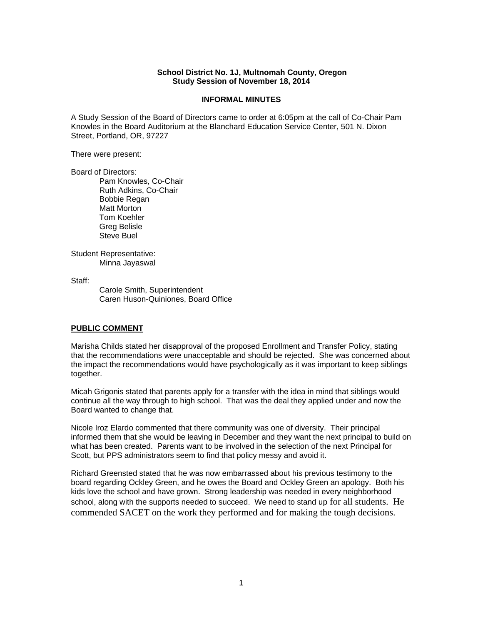### **School District No. 1J, Multnomah County, Oregon Study Session of November 18, 2014**

### **INFORMAL MINUTES**

A Study Session of the Board of Directors came to order at 6:05pm at the call of Co-Chair Pam Knowles in the Board Auditorium at the Blanchard Education Service Center, 501 N. Dixon Street, Portland, OR, 97227

There were present:

Board of Directors:

Pam Knowles, Co-Chair Ruth Adkins, Co-Chair Bobbie Regan Matt Morton Tom Koehler Greg Belisle Steve Buel

Student Representative: Minna Jayaswal

Staff:

 Carole Smith, Superintendent Caren Huson-Quiniones, Board Office

### **PUBLIC COMMENT**

Marisha Childs stated her disapproval of the proposed Enrollment and Transfer Policy, stating that the recommendations were unacceptable and should be rejected. She was concerned about the impact the recommendations would have psychologically as it was important to keep siblings together.

Micah Grigonis stated that parents apply for a transfer with the idea in mind that siblings would continue all the way through to high school. That was the deal they applied under and now the Board wanted to change that.

Nicole Iroz Elardo commented that there community was one of diversity. Their principal informed them that she would be leaving in December and they want the next principal to build on what has been created. Parents want to be involved in the selection of the next Principal for Scott, but PPS administrators seem to find that policy messy and avoid it.

Richard Greensted stated that he was now embarrassed about his previous testimony to the board regarding Ockley Green, and he owes the Board and Ockley Green an apology. Both his kids love the school and have grown. Strong leadership was needed in every neighborhood school, along with the supports needed to succeed. We need to stand up for all students. He commended SACET on the work they performed and for making the tough decisions.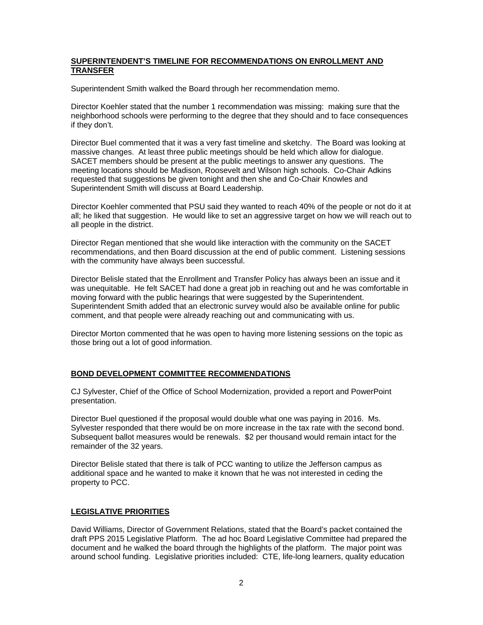# **SUPERINTENDENT'S TIMELINE FOR RECOMMENDATIONS ON ENROLLMENT AND TRANSFER**

Superintendent Smith walked the Board through her recommendation memo.

Director Koehler stated that the number 1 recommendation was missing: making sure that the neighborhood schools were performing to the degree that they should and to face consequences if they don't.

Director Buel commented that it was a very fast timeline and sketchy. The Board was looking at massive changes. At least three public meetings should be held which allow for dialogue. SACET members should be present at the public meetings to answer any questions. The meeting locations should be Madison, Roosevelt and Wilson high schools. Co-Chair Adkins requested that suggestions be given tonight and then she and Co-Chair Knowles and Superintendent Smith will discuss at Board Leadership.

Director Koehler commented that PSU said they wanted to reach 40% of the people or not do it at all; he liked that suggestion. He would like to set an aggressive target on how we will reach out to all people in the district.

Director Regan mentioned that she would like interaction with the community on the SACET recommendations, and then Board discussion at the end of public comment. Listening sessions with the community have always been successful.

Director Belisle stated that the Enrollment and Transfer Policy has always been an issue and it was unequitable. He felt SACET had done a great job in reaching out and he was comfortable in moving forward with the public hearings that were suggested by the Superintendent. Superintendent Smith added that an electronic survey would also be available online for public comment, and that people were already reaching out and communicating with us.

Director Morton commented that he was open to having more listening sessions on the topic as those bring out a lot of good information.

# **BOND DEVELOPMENT COMMITTEE RECOMMENDATIONS**

CJ Sylvester, Chief of the Office of School Modernization, provided a report and PowerPoint presentation.

Director Buel questioned if the proposal would double what one was paying in 2016. Ms. Sylvester responded that there would be on more increase in the tax rate with the second bond. Subsequent ballot measures would be renewals. \$2 per thousand would remain intact for the remainder of the 32 years.

Director Belisle stated that there is talk of PCC wanting to utilize the Jefferson campus as additional space and he wanted to make it known that he was not interested in ceding the property to PCC.

## **LEGISLATIVE PRIORITIES**

David Williams, Director of Government Relations, stated that the Board's packet contained the draft PPS 2015 Legislative Platform. The ad hoc Board Legislative Committee had prepared the document and he walked the board through the highlights of the platform. The major point was around school funding. Legislative priorities included: CTE, life-long learners, quality education